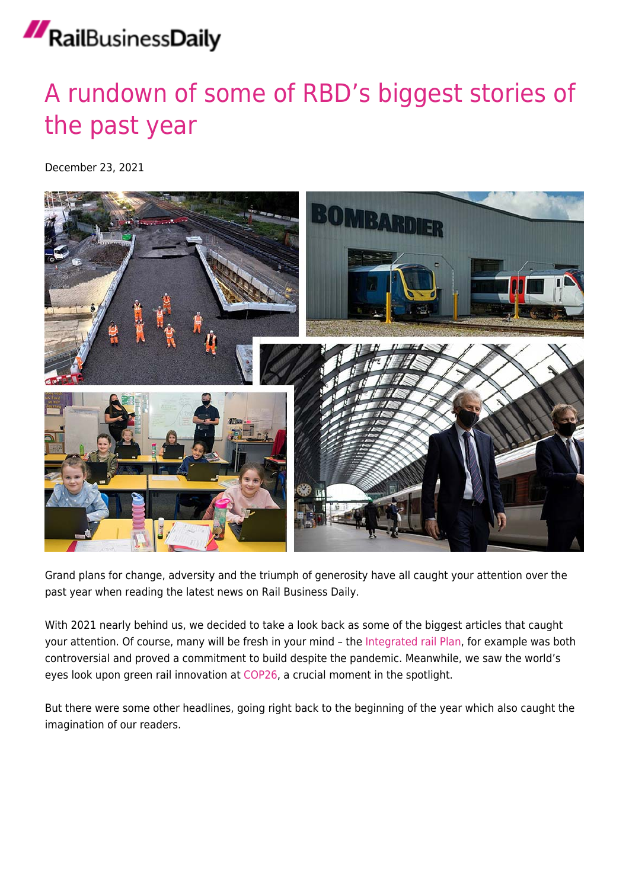## [A rundown of some of RBD's biggest stories of](https://news.railbusinessdaily.com/a-rundown-of-important-news-stories-that-caught-your-attention-over-the-past-year/) [the past year](https://news.railbusinessdaily.com/a-rundown-of-important-news-stories-that-caught-your-attention-over-the-past-year/)

December 23, 2021



Grand plans for change, adversity and the triumph of generosity have all caught your attention over the past year when reading the latest news on Rail Business Daily.

With 2021 nearly behind us, we decided to take a look back as some of the biggest articles that caught your attention. Of course, many will be fresh in your mind - the [Integrated rail Plan](https://news.railbusinessdaily.com/the-96-billion-integrated-rail-plan-has-been-revealed/), for example was both controversial and proved a commitment to build despite the pandemic. Meanwhile, we saw the world's eyes look upon green rail innovation at [COP26,](https://news.railbusinessdaily.com/hrh-the-prince-of-wales-steps-aboard-britains-green-trains-of-the-future-in-glasgow-during-cop26/) a crucial moment in the spotlight.

But there were some other headlines, going right back to the beginning of the year which also caught the imagination of our readers.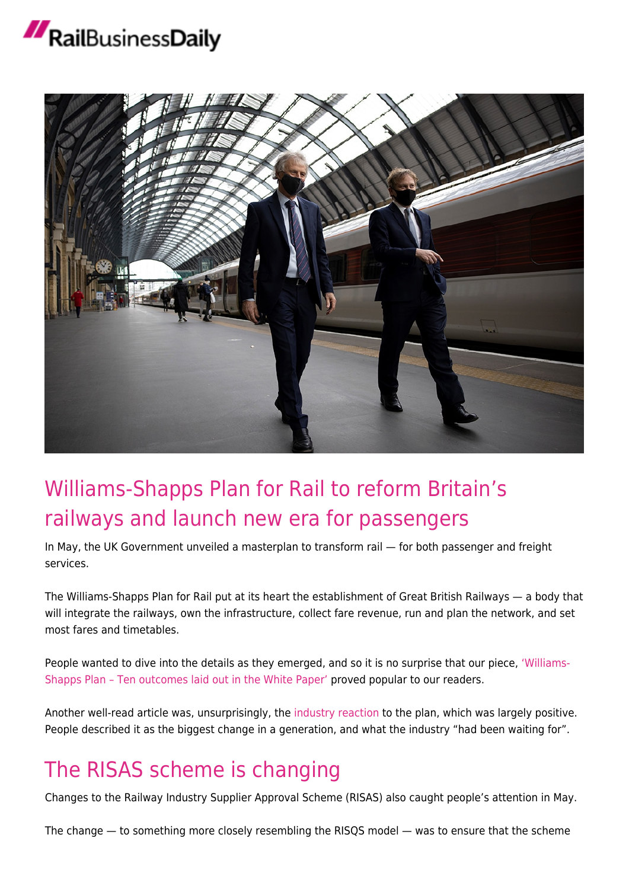

## [Williams-Shapps Plan for Rail to reform Britain's](https://news.railbusinessdaily.com/williams-shapps-plan-for-rail-to-reform-britains-railways-and-launch-new-era-for-passengers/) [railways and launch new era for passengers](https://news.railbusinessdaily.com/williams-shapps-plan-for-rail-to-reform-britains-railways-and-launch-new-era-for-passengers/)

In May, the UK Government unveiled a masterplan to transform rail — for both passenger and freight services.

The Williams-Shapps Plan for Rail put at its heart the establishment of Great British Railways — a body that will integrate the railways, own the infrastructure, collect fare revenue, run and plan the network, and set most fares and timetables.

People wanted to dive into the details as they emerged, and so it is no surprise that our piece, ['Williams-](https://news.railbusinessdaily.com/williams-shapps-plan-ten-outcomes-laid-out-in-the-white-paper/)[Shapps Plan – Ten outcomes laid out in the White Paper'](https://news.railbusinessdaily.com/williams-shapps-plan-ten-outcomes-laid-out-in-the-white-paper/) proved popular to our readers.

Another well-read article was, unsurprisingly, th[e industry reaction](https://news.railbusinessdaily.com/industry-reaction-to-williams-shapps-plans-for-rail/) to the plan, which was largely positive. People described it as the biggest change in a generation, and what the industry "had been waiting for".

### [The RISAS scheme is changing](https://news.railbusinessdaily.com/the-risas-scheme-is-changing/)

Changes to the Railway Industry Supplier Approval Scheme (RISAS) also caught people's attention in May.

The change — to something more closely resembling the RISQS model — was to ensure that the scheme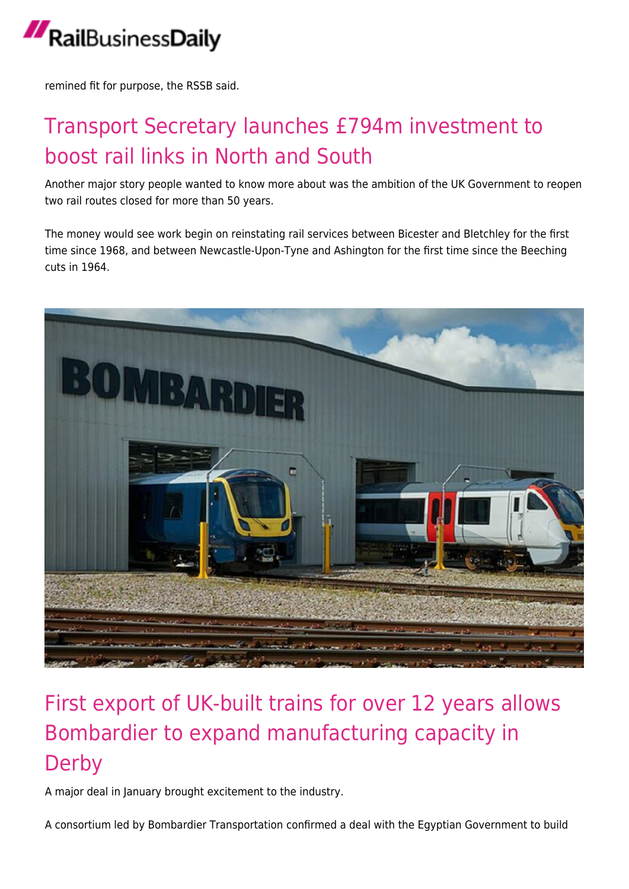

remined fit for purpose, the RSSB said.

### [Transport Secretary launches £794m investment to](https://news.railbusinessdaily.com/transport-secretary-launches-794m-investment-to-boost-rail-links-in-north-and-south/) [boost rail links in North and South](https://news.railbusinessdaily.com/transport-secretary-launches-794m-investment-to-boost-rail-links-in-north-and-south/)

Another major story people wanted to know more about was the ambition of the UK Government to reopen two rail routes closed for more than 50 years.

The money would see work begin on reinstating rail services between Bicester and Bletchley for the first time since 1968, and between Newcastle-Upon-Tyne and Ashington for the first time since the Beeching cuts in 1964.



### [First export of UK-built trains for over 12 years allows](https://news.railbusinessdaily.com/first-export-of-uk-built-trains-for-over-12-years-allows-bombardier-to-expand-manufacturing-capacity-in-derby/) [Bombardier to expand manufacturing capacity in](https://news.railbusinessdaily.com/first-export-of-uk-built-trains-for-over-12-years-allows-bombardier-to-expand-manufacturing-capacity-in-derby/) **[Derby](https://news.railbusinessdaily.com/first-export-of-uk-built-trains-for-over-12-years-allows-bombardier-to-expand-manufacturing-capacity-in-derby/)**

A major deal in January brought excitement to the industry.

A consortium led by Bombardier Transportation confirmed a deal with the Egyptian Government to build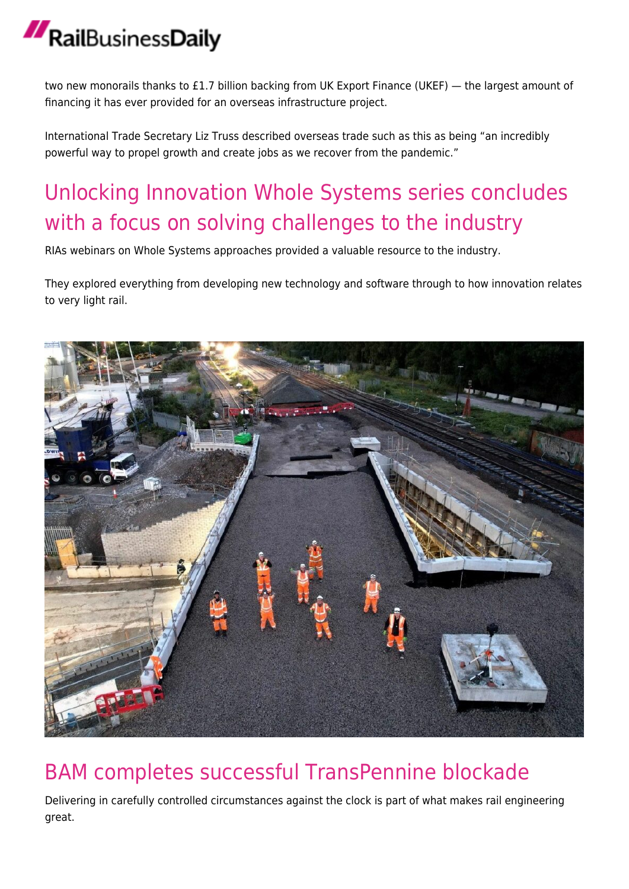two new monorails thanks to £1.7 billion backing from UK Export Finance (UKEF) — the largest amount of financing it has ever provided for an overseas infrastructure project.

International Trade Secretary Liz Truss described overseas trade such as this as being "an incredibly powerful way to propel growth and create jobs as we recover from the pandemic."

## [Unlocking Innovation Whole Systems series concludes](https://news.railbusinessdaily.com/unlocking-innovation-whole-systems-series-concludes-with-a-focus-on-solving-challenges-to-the-industry/) [with a focus on solving challenges to the industry](https://news.railbusinessdaily.com/unlocking-innovation-whole-systems-series-concludes-with-a-focus-on-solving-challenges-to-the-industry/)

RIAs webinars on Whole Systems approaches provided a valuable resource to the industry.

They explored everything from developing new technology and software through to how innovation relates to very light rail.



#### [BAM completes successful TransPennine blockade](https://news.railbusinessdaily.com/bam-completes-successful-transpennine-blockade/)

Delivering in carefully controlled circumstances against the clock is part of what makes rail engineering great.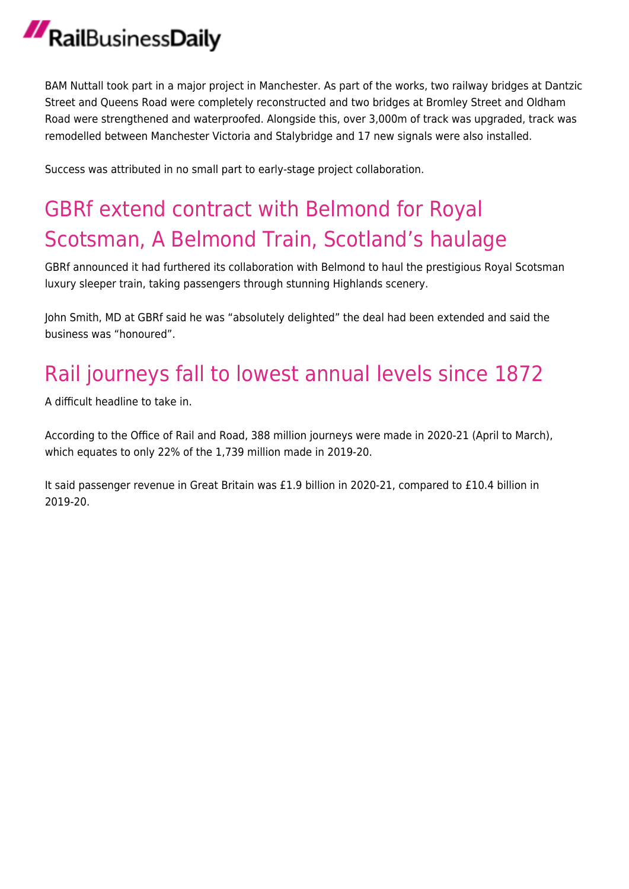BAM Nuttall took part in a major project in Manchester. As part of the works, two railway bridges at Dantzic Street and Queens Road were completely reconstructed and two bridges at Bromley Street and Oldham Road were strengthened and waterproofed. Alongside this, over 3,000m of track was upgraded, track was remodelled between Manchester Victoria and Stalybridge and 17 new signals were also installed.

Success was attributed in no small part to early-stage project collaboration.

## [GBRf extend contract with Belmond for Royal](https://news.railbusinessdaily.com/gbrf-extend-contract-with-belmond-for-royal-scotsman-a-belmond-train-scotlands-haulage/) [Scotsman, A Belmond Train, Scotland's haulage](https://news.railbusinessdaily.com/gbrf-extend-contract-with-belmond-for-royal-scotsman-a-belmond-train-scotlands-haulage/)

GBRf announced it had furthered its collaboration with Belmond to haul the prestigious Royal Scotsman luxury sleeper train, taking passengers through stunning Highlands scenery.

John Smith, MD at GBRf said he was "absolutely delighted" the deal had been extended and said the business was "honoured".

## [Rail journeys fall to lowest annual levels since 1872](https://news.railbusinessdaily.com/rail-journeys-fall-to-lowest-annual-levels-since-1872/)

A difficult headline to take in.

According to the Office of Rail and Road, 388 million journeys were made in 2020-21 (April to March), which equates to only 22% of the 1,739 million made in 2019-20.

It said passenger revenue in Great Britain was £1.9 billion in 2020-21, compared to £10.4 billion in 2019-20.